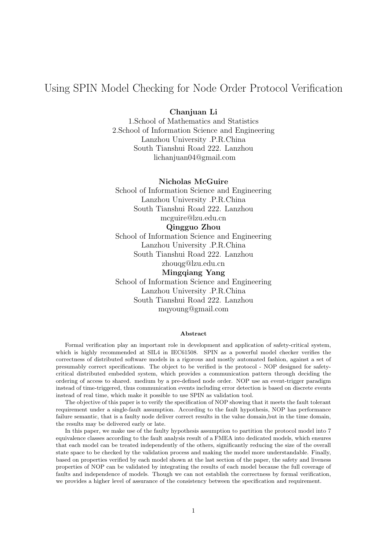# Using SPIN Model Checking for Node Order Protocol Verification

#### Chanjuan Li

1.School of Mathematics and Statistics 2.School of Information Science and Engineering Lanzhou University .P.R.China South Tianshui Road 222. Lanzhou lichanjuan04@gmail.com

#### Nicholas McGuire

School of Information Science and Engineering Lanzhou University .P.R.China South Tianshui Road 222. Lanzhou mcguire@lzu.edu.cn Qingguo Zhou School of Information Science and Engineering Lanzhou University .P.R.China

South Tianshui Road 222. Lanzhou

zhouqg@lzu.edu.cn

Mingqiang Yang School of Information Science and Engineering Lanzhou University .P.R.China South Tianshui Road 222. Lanzhou mqyoung@gmail.com

#### Abstract

Formal verification play an important role in development and application of safety-critical system, which is highly recommended at SIL4 in IEC61508. SPIN as a powerful model checker verifies the correctness of distributed software models in a rigorous and mostly automated fashion, against a set of presumably correct specifications. The object to be verified is the protocol - NOP designed for safetycritical distributed embedded system, which provides a communication pattern through deciding the ordering of access to shared. medium by a pre-defined node order. NOP use an event-trigger paradigm instead of time-triggered, thus communication events including error detection is based on discrete events instead of real time, which make it possible to use SPIN as validation tool.

The objective of this paper is to verify the specification of NOP showing that it meets the fault tolerant requirement under a single-fault assumption. According to the fault hypothesis, NOP has performance failure semantic, that is a faulty node deliver correct results in the value domain, but in the time domain, the results may be delivered early or late.

In this paper, we make use of the faulty hypothesis assumption to partition the protocol model into 7 equivalence classes according to the fault analysis result of a FMEA into dedicated models, which ensures that each model can be treated independently of the others, significantly reducing the size of the overall state space to be checked by the validation process and making the model more understandable. Finally, based on properties verified by each model shown at the last section of the paper, the safety and liveness properties of NOP can be validated by integrating the results of each model because the full coverage of faults and independence of models. Though we can not establish the correctness by formal verification, we provides a higher level of assurance of the consistency between the specification and requirement.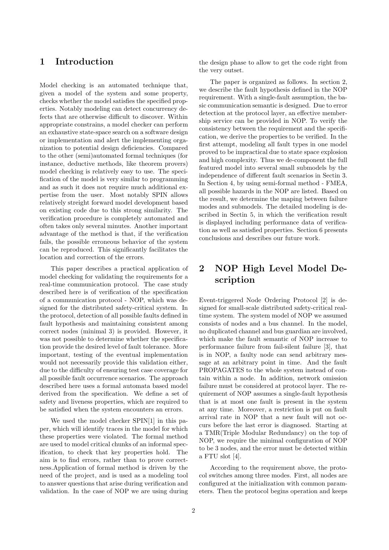# 1 Introduction

Model checking is an automated technique that, given a model of the system and some property, checks whether the model satisfies the specified properties. Notably modeling can detect concurrency defects that are otherwise difficult to discover. Within appropriate constrains, a model checker can perform an exhaustive state-space search on a software design or implementation and alert the implementing organization to potential design deficiencies. Compared to the other (semi)automated formal techniques (for instance, deductive methods, like theorem provers) model checking is relatively easy to use. The specification of the model is very similar to programming and as such it does not require much additional expertise from the user. Most notably SPIN allows relatively streight forward model development based on existing code due to this strong similarity. The verification procedure is completely automated and often takes only several minutes. Another important advantage of the method is that, if the verification fails, the possible erroneous behavior of the system can be reproduced. This significantly facilitates the location and correction of the errors.

This paper describes a practical application of model checking for validating the requirements for a real-time communication protocol. The case study described here is of verification of the specification of a communication protocol - NOP, which was designed for the distributed safety-critical system. In the protocol, detection of all possible faults defined in fault hypothesis and maintaining consistent among correct nodes (minimal 3) is provided. However, it was not possible to determine whether the specification provide the desired level of fault tolerance. More important, testing of the eventual implementation would not necessarily provide this validation either, due to the difficulty of ensuring test case coverage for all possible fault occurrence scenarios. The approach described here uses a formal automata based model derived from the specification. We define a set of safety and liveness properties, which are required to be satisfied when the system encounters an errors.

We used the model checker SPIN[1] in this paper, which will identify traces in the model for which these properties were violated. The formal method are used to model critical chunks of an informal specification, to check that key properties hold. The aim is to find errors, rather than to prove correctness.Application of formal method is driven by the need of the project, and is used as a modeling tool to answer questions that arise during verification and validation. In the case of NOP we are using during the design phase to allow to get the code right from the very outset.

The paper is organized as follows. In section 2, we describe the fault hypothesis defined in the NOP requirement. With a single-fault assumption, the basic communication semantic is designed. Due to error detection at the protocol layer, an effective membership service can be provided in NOP. To verify the consistency between the requirement and the specification, we derive the properties to be verified. In the first attempt, modeling all fault types in one model proved to be impractical due to state space explosion and high complexity. Thus we de-component the full featured model into several small submodels by the independence of different fault scenarios in Sectin 3. In Section 4, by using semi-formal method - FMEA, all possible hazards in the NOP are listed. Based on the result, we determine the maping between failure modes and submodels. The detailed modeling is described in Sectin 5, in which the verification result is displayed including performance data of verification as well as satisfied properties. Section 6 presents conclusions and describes our future work.

# 2 NOP High Level Model Description

Event-triggered Node Ordering Protocol [2] is designed for small-scale distributed safety-critical realtime system. The system model of NOP we assumed consists of nodes and a bus channel. In the model, no duplicated channel and bus guardian are involved, which make the fault semantic of NOP increase to performance failure from fail-silent failure [3], that is in NOP, a faulty node can send arbitrary message at an arbitrary point in time. And the fault PROPAGATES to the whole system instead of contain within a node. In addition, network omission failure must be considered at protocol layer. The requirement of NOP assumes a single-fault hypothesis that is at most one fault is present in the system at any time. Moreover, a restriction is put on fault arrival rate in NOP that a new fault will not occurs before the last error is diagnosed. Starting at a TMR(Triple Modular Redundancy) on the top of NOP, we require the minimal configuration of NOP to be 3 nodes, and the error must be detected within a FTU slot [4].

According to the requirement above, the protocol switches among three modes. First, all nodes are configured at the initialization with common parameters. Then the protocol begins operation and keeps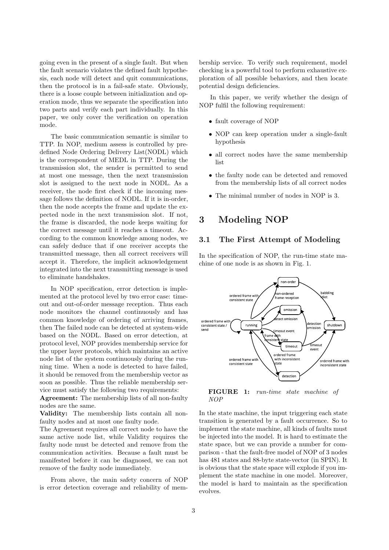going even in the present of a single fault. But when the fault scenario violates the defined fault hypothesis, each node will detect and quit communications, then the protocol is in a fail-safe state. Obviously, there is a loose couple between initialization and operation mode, thus we separate the specification into two parts and verify each part individually. In this paper, we only cover the verification on operation mode.

The basic communication semantic is similar to TTP. In NOP, medium assess is controlled by predefined Node Ordering Delivery List(NODL) which is the correspondent of MEDL in TTP. During the transmission slot, the sender is permitted to send at most one message, then the next transmission slot is assigned to the next node in NODL. As a receiver, the node first check if the incoming message follows the definition of NODL. If it is in-order, then the node accepts the frame and update the expected node in the next transmission slot. If not, the frame is discarded, the node keeps waiting for the correct message until it reaches a timeout. According to the common knowledge among nodes, we can safely deduce that if one receiver accepts the transmitted message, then all correct receivers will accept it. Therefore, the implicit acknowledgement integrated into the next transmitting message is used to eliminate handshakes.

In NOP specification, error detection is implemented at the protocol level by two error case: timeout and out-of-order message reception. Thus each node monitors the channel continuously and has common knowledge of ordering of arriving frames, then The failed node can be detected at system-wide based on the NODL. Based on error detection, at protocol level, NOP provides membership service for the upper layer protocols, which maintains an active node list of the system continuously during the running time. When a node is detected to have failed, it should be removed from the membership vector as soon as possible. Thus the reliable membership service must satisfy the following two requirements:

Agreement: The membership lists of all non-faulty nodes are the same.

Validity: The membership lists contain all nonfaulty nodes and at most one faulty node.

The Agreement requires all correct node to have the same active node list, while Validity requires the faulty node must be detected and remove from the communication activities. Because a fault must be manifested before it can be diagnosed, we can not remove of the faulty node immediately.

From above, the main safety concern of NOP is error detection coverage and reliability of membership service. To verify such requirement, model checking is a powerful tool to perform exhaustive exploration of all possible behaviors, and then locate potential design deficiencies.

In this paper, we verify whether the design of NOP fulfil the following requirement:

- fault coverage of NOP
- NOP can keep operation under a single-fault hypothesis
- all correct nodes have the same membership list
- the faulty node can be detected and removed from the membership lists of all correct nodes
- The minimal number of nodes in NOP is 3.

# 3 Modeling NOP

#### 3.1 The First Attempt of Modeling

In the specification of NOP, the run-time state machine of one node is as shown in Fig. 1.



FIGURE 1: run-time state machine of NOP

In the state machine, the input triggering each state transition is generated by a fault occurrence. So to implement the state machine, all kinds of faults must be injected into the model. It is hard to estimate the state space, but we can provide a number for comparison - that the fault-free model of NOP of 3 nodes has 481 states and 88-byte state-vector (in SPIN). It is obvious that the state space will explode if you implement the state machine in one model. Moreover, the model is hard to maintain as the specification evolves.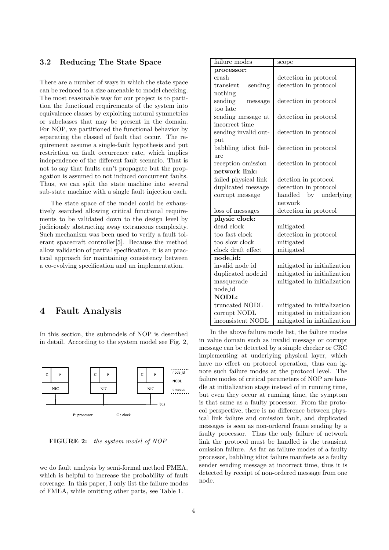#### 3.2 Reducing The State Space

There are a number of ways in which the state space can be reduced to a size amenable to model checking. The most reasonable way for our project is to partition the functional requirements of the system into equivalence classes by exploiting natural symmetries or subclasses that may be present in the domain. For NOP, we partitioned the functional behavior by separating the classed of fault that occur. The requirement assume a single-fault hypothesis and put restriction on fault occurrence rate, which implies independence of the different fault scenario. That is not to say that faults can't propagate but the propagation is assumed to not induced concurrent faults. Thus, we can split the state machine into several sub-state machine with a single fault injection each.

The state space of the model could be exhaustively searched allowing critical functional requirements to be validated down to the design level by judiciously abstracting away extraneous complexity. Such mechanism was been used to verify a fault tolerant spacecraft controller[5]. Because the method allow validation of partial specification, it is an practical approach for maintaining consistency between a co-evolving specification and an implementation.

## 4 Fault Analysis

In this section, the submodels of NOP is described in detail. According to the system model see Fig. 2,



FIGURE 2: the system model of NOP

we do fault analysis by semi-formal method FMEA, which is helpful to increase the probability of fault coverage. In this paper, I only list the failure modes of FMEA, while omitting other parts, see Table 1.

| failure modes                 | scope                       |  |
|-------------------------------|-----------------------------|--|
| processor:                    |                             |  |
| crash                         | detection in protocol       |  |
| transient<br>sending          | detection in protocol       |  |
| nothing                       |                             |  |
| sending<br>message            | detection in protocol       |  |
| too late                      |                             |  |
| sending message at            | detection in protocol       |  |
| incorrect time                |                             |  |
| sending invalid out-          | detection in protocol       |  |
| put                           |                             |  |
| babbling idiot fail-          | detection in protocol       |  |
| ure                           |                             |  |
| reception omission            | detection in protocol       |  |
| network link:                 |                             |  |
| failed physical link          | detetion in protocol        |  |
| duplicated message            | detection in protocol       |  |
| corrupt message               | handled<br>by underlying    |  |
|                               | network                     |  |
| loss of messages              | detection in protocol       |  |
| physic clock:                 |                             |  |
| dead clock                    | mitigated                   |  |
| too fast clock                | detection in protocol       |  |
| too slow clock                | mitigated                   |  |
| clock draft effect            | mitigated                   |  |
| $\overline{\text{node_id}}$ : |                             |  |
| invalid node_id               | mitigated in initialization |  |
| duplicated node_id            | mitigated in initialization |  |
| masquerade                    | mitigated in initialization |  |
| node id                       |                             |  |
| $\overline{\mathrm{NODL}}$    |                             |  |
| truncated NODL                | mitigated in initialization |  |
| corrupt NODL                  | mitigated in initialization |  |
| inconsistent NODL             | mitigated in initialization |  |

In the above failure mode list, the failure modes in value domain such as invalid message or corrupt message can be detected by a simple checker or CRC implementing at underlying physical layer, which have no effect on protocol operation, thus can ignore such failure modes at the protocol level. The failure modes of critical parameters of NOP are handle at initialization stage instead of in running time, but even they occur at running time, the symptom is that same as a faulty processor. From the protocol perspective, there is no difference between physical link failure and omission fault, and duplicated messages is seen as non-ordered frame sending by a faulty processor. Thus the only failure of network link the protocol must be handled is the transient omission failure. As far as failure modes of a faulty processor, babbling idiot failure manifests as a faulty sender sending message at incorrect time, thus it is detected by receipt of non-ordered message from one node.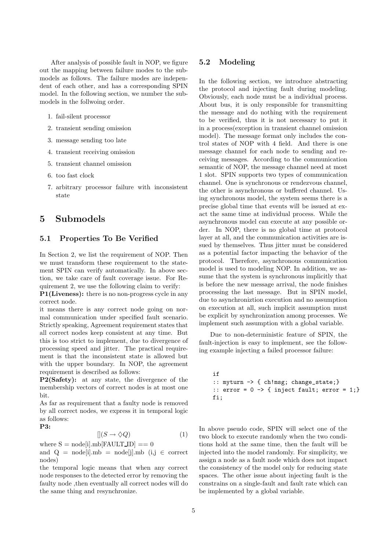After analysis of possible fault in NOP, we figure out the mapping between failure modes to the submodels as follows. The failure modes are independent of each other, and has a corresponding SPIN model. In the following section, we number the submodels in the follwoing order.

1. fail-silent processor

- 2. transient sending omission
- 3. message sending too late
- 4. transient receiving omission
- 5. transient channel omission
- 6. too fast clock
- 7. arbitrary processor failure with inconsistent state

### 5 Submodels

#### 5.1 Properties To Be Verified

In Section 2, we list the requirement of NOP. Then we must transform these requirement to the statement SPIN can verify automatically. In above section, we take care of fault coverage issue. For Requirement 2, we use the following claim to verify:

P1(Liveness): there is no non-progress cycle in any correct node.

it means there is any correct node going on normal communication under specified fault scenario. Strictly speaking, Agreement requirement states that all correct nodes keep consistent at any time. But this is too strict to implement, due to divergence of processing speed and jitter. The practical requirement is that the inconsistent state is allowed but with the upper boundary. In NOP, the agreement requirement is described as follows:

P2(Safety): at any state, the divergence of the membership vectors of correct nodes is at most one bit.

As far as requirement that a faulty node is removed by all correct nodes, we express it in temporal logic as follows: P3:

$$
[](S \to \diamondsuit Q) \tag{1}
$$

where 
$$
S = node[i].mb[FAULT\_ID] == 0
$$
  
and  $Q = node[i]mb$  model; link (i)  $G$ 

and  $Q = node[i].mb = node[j].mb$  (i,j  $\in$  correct nodes)

the temporal logic means that when any correct node responses to the detected error by removing the faulty node ,then eventually all correct nodes will do the same thing and resynchronize.

#### 5.2 Modeling

In the following section, we introduce abstracting the protocol and injecting fault during modeling. Obviously, each node must be a individual process. About bus, it is only responsible for transmitting the message and do nothing with the requirement to be verified, thus it is not necessary to put it in a process(exception in transient channel omission model). The message format only includes the control states of NOP with 4 field. And there is one message channel for each node to sending and receiving messages. According to the communication semantic of NOP, the message channel need at most 1 slot. SPIN supports two types of communication channel. One is synchronous or rendezvous channel, the other is asynchronous or buffered channel. Using synchronous model, the system seems there is a precise global time that events will be issued at exact the same time at individual process. While the asynchronous model can execute at any possible order. In NOP, there is no global time at protocol layer at all, and the communication activities are issued by themselves. Thus jitter must be considered as a potential factor impacting the behavior of the protocol. Therefore, asynchronous communication model is used to modeling NOP. In addition, we assume that the system is synchronous implicitly that is before the new message arrival, the node finishes processing the last message. But in SPIN model, due to asynchroniztion execution and no assumption on execution at all, such implicit assumption must be explicit by synchronization among processes. We implement such assumption with a global variable.

Due to non-deterministic feature of SPIN, the fault-injection is easy to implement, see the following example injecting a failed processor failure:

```
if
:: myturn -> { ch!msg; change_state;}
:: error = 0 \rightarrow \{ inject fault; error = 1;\}fi;
```
In above pseudo code, SPIN will select one of the two block to execute randomly when the two conditions hold at the same time, then the fault will be injected into the model randomly. For simplicity, we assign a node as a fault node which does not impact the consistency of the model only for reducing state spaces. The other issue about injecting fault is the constrains on a single-fault and fault rate which can be implemented by a global variable.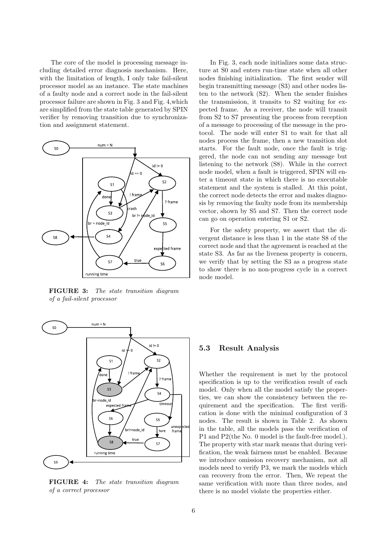The core of the model is processing message including detailed error diagnosis mechanism. Here, with the limitation of length, I only take fail-silent processor model as an instance. The state machines of a faulty node and a correct node in the fail-silent processor failure are shown in Fig. 3 and Fig. 4,which are simplified from the state table generated by SPIN verifier by removing transition due to synchronization and assignment statement.



FIGURE 3: The state transition diagram of a fail-silent processor



FIGURE 4: The state transition diagram of a correct processor

In Fig. 3, each node initializes some data structure at S0 and enters run-time state when all other nodes finishing initialization. The first sender will begin transmitting message (S3) and other nodes listen to the network (S2). When the sender finishes the transmission, it transits to S2 waiting for expected frame. As a receiver, the node will transit from S2 to S7 presenting the process from reception of a message to processing of the message in the protocol. The node will enter S1 to wait for that all nodes process the frame, then a new transition slot starts. For the fault node, once the fault is triggered, the node can not sending any message but listening to the network (S8). While in the correct node model, when a fault is triggered, SPIN will enter a timeout state in which there is no executable statement and the system is stalled. At this point, the correct node detects the error and makes diagnosis by removing the faulty node from its membership vector, shown by S5 and S7. Then the correct node can go on operation entering S1 or S2.

For the safety property, we assert that the divergent distance is less than 1 in the state S8 of the correct node and that the agreement is reached at the state S3. As far as the liveness property is concern, we verify that by setting the S3 as a progress state to show there is no non-progress cycle in a correct node model.

#### 5.3 Result Analysis

Whether the requirement is met by the protocol specification is up to the verification result of each model. Only when all the model satisfy the properties, we can show the consistency between the requirement and the specification. The first verification is done with the minimal configuration of 3 nodes. The result is shown in Table 2. As shown in the table, all the models pass the verification of P1 and P2(the No. 0 model is the fault-free model.). The property with star mark means that during verification, the weak fairness must be enabled. Because we introduce omission recovery mechanism, not all models need to verify P3, we mark the models which can recovery from the error. Then, We repeat the same verification with more than three nodes, and there is no model violate the properties either.